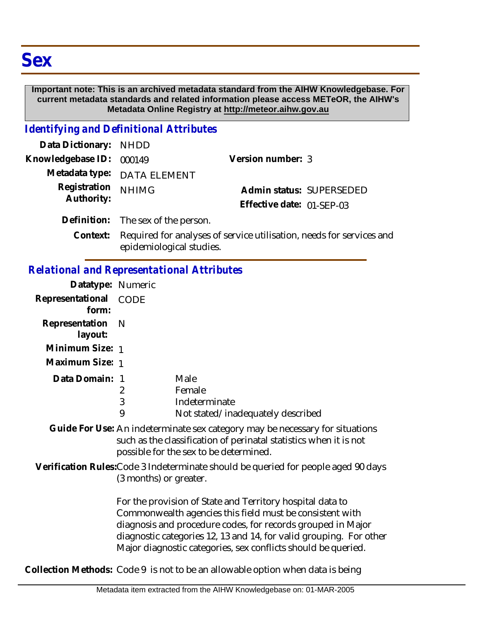#### **Important note: This is an archived metadata standard from the AIHW Knowledgebase. For current metadata standards and related information please access METeOR, the AIHW's Metadata Online Registry at http://meteor.aihw.gov.au**

## *Identifying and Definitional Attributes*

| Data Dictionary: NHDD      |                                                                           |                           |                          |
|----------------------------|---------------------------------------------------------------------------|---------------------------|--------------------------|
| Knowledgebase ID: 000149   |                                                                           | Version number: 3         |                          |
|                            | Metadata type: DATA ELEMENT                                               |                           |                          |
| Registration<br>Authority: | <b>NHIMG</b>                                                              |                           | Admin status: SUPERSEDED |
|                            |                                                                           | Effective date: 01-SEP-03 |                          |
|                            | Definition: The sex of the person.                                        |                           |                          |
|                            | Context. Dequired for anolypes of semiles utilization, people for semiles |                           |                          |

### Context: Required for analyses of service utilisation, needs for services and epidemiological studies.

## *Relational and Representational Attributes*

| Datatype: Numeric                                                                                                                                                                                                                                                                                                           |                          |                                                                                    |  |
|-----------------------------------------------------------------------------------------------------------------------------------------------------------------------------------------------------------------------------------------------------------------------------------------------------------------------------|--------------------------|------------------------------------------------------------------------------------|--|
| Representational<br>form:                                                                                                                                                                                                                                                                                                   | CODE                     |                                                                                    |  |
| Representation<br>layout:                                                                                                                                                                                                                                                                                                   | - N                      |                                                                                    |  |
| Minimum Size: 1                                                                                                                                                                                                                                                                                                             |                          |                                                                                    |  |
| Maximum Size: 1                                                                                                                                                                                                                                                                                                             |                          |                                                                                    |  |
| Data Domain: 1                                                                                                                                                                                                                                                                                                              | $\overline{2}$<br>3<br>9 | Male<br>Female<br>Indeterminate<br>Not stated/inadequately described               |  |
| Guide For Use: An indeterminate sex category may be necessary for situations<br>such as the classification of perinatal statistics when it is not<br>possible for the sex to be determined.                                                                                                                                 |                          |                                                                                    |  |
|                                                                                                                                                                                                                                                                                                                             | (3 months) or greater.   | Verification Rules: Code 3 Indeterminate should be queried for people aged 90 days |  |
| For the provision of State and Territory hospital data to<br>Commonwealth agencies this field must be consistent with<br>diagnosis and procedure codes, for records grouped in Major<br>diagnostic categories 12, 13 and 14, for valid grouping. For other<br>Major diagnostic categories, sex conflicts should be queried. |                          |                                                                                    |  |

**Collection Methods:** Code 9 is not to be an allowable option when data is being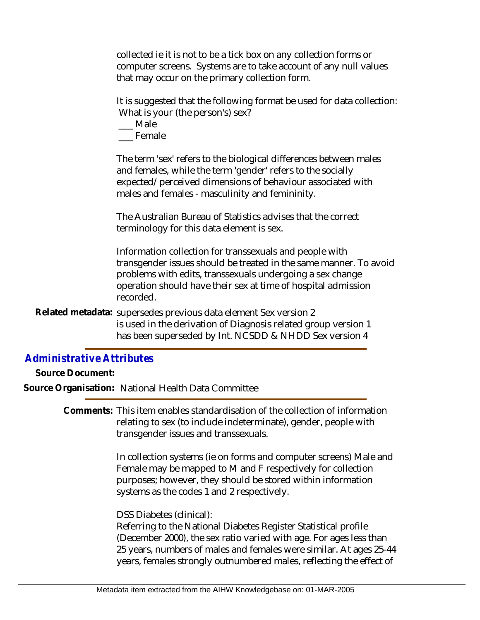collected ie it is not to be a tick box on any collection forms or computer screens. Systems are to take account of any null values that may occur on the primary collection form.

It is suggested that the following format be used for data collection: What is your (the person's) sex?

\_\_\_ Male

\_\_\_ Female

The term 'sex' refers to the biological differences between males and females, while the term 'gender' refers to the socially expected/perceived dimensions of behaviour associated with males and females - masculinity and femininity.

The Australian Bureau of Statistics advises that the correct terminology for this data element is sex.

Information collection for transsexuals and people with transgender issues should be treated in the same manner. To avoid problems with edits, transsexuals undergoing a sex change operation should have their sex at time of hospital admission recorded.

Related metadata: supersedes previous data element Sex version 2 is used in the derivation of Diagnosis related group version 1 has been superseded by Int. NCSDD & NHDD Sex version 4

# *Administrative Attributes*

**Source Document:**

**Source Organisation:** National Health Data Committee

Comments: This item enables standardisation of the collection of information relating to sex (to include indeterminate), gender, people with transgender issues and transsexuals.

> In collection systems (ie on forms and computer screens) Male and Female may be mapped to M and F respectively for collection purposes; however, they should be stored within information systems as the codes 1 and 2 respectively.

DSS Diabetes (clinical):

Referring to the National Diabetes Register Statistical profile (December 2000), the sex ratio varied with age. For ages less than 25 years, numbers of males and females were similar. At ages 25-44 years, females strongly outnumbered males, reflecting the effect of